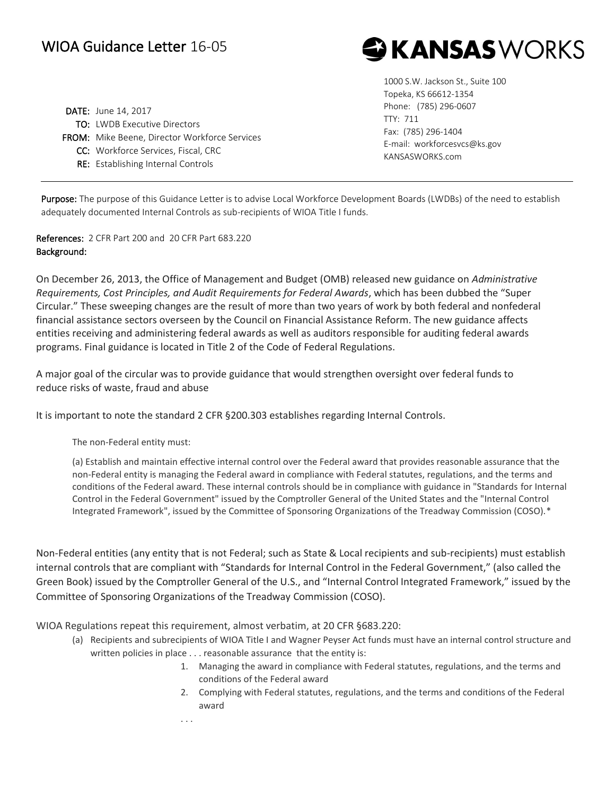## WIOA Guidance Letter 16-05

DATE: June 14, 2017 TO: LWDB Executive Directors FROM: Mike Beene, Director Workforce Services CC: Workforce Services, Fiscal, CRC RE: Establishing Internal Controls

1000 S.W. Jackson St., Suite 100 Topeka, KS 66612-1354 Phone: (785) 296-0607 TTY: 711 Fax: (785) 296-1404 E-mail: workforcesvcs@ks.gov KANSASWORKS.com

**G KANSAS** WORKS

Purpose: The purpose of this Guidance Letter is to advise Local Workforce Development Boards (LWDBs) of the need to establish adequately documented Internal Controls as sub-recipients of WIOA Title I funds.

References: 2 CFR Part 200 and 20 CFR Part 683.220 Background:

On December 26, 2013, the Office of Management and Budget (OMB) released new guidance on *Administrative Requirements, Cost Principles, and Audit Requirements for Federal Awards*, which has been dubbed the "Super Circular." These sweeping changes are the result of more than two years of work by both federal and nonfederal financial assistance sectors overseen by the Council on Financial Assistance Reform. The new guidance affects entities receiving and administering federal awards as well as auditors responsible for auditing federal awards programs. Final guidance is located in Title 2 of the Code of Federal Regulations.

A major goal of the circular was to provide guidance that would strengthen oversight over federal funds to reduce risks of waste, fraud and abuse

It is important to note the standard 2 CFR §200.303 establishes regarding Internal Controls.

The non-Federal entity must:

(a) Establish and maintain effective internal control over the Federal award that provides reasonable assurance that the non-Federal entity is managing the Federal award in compliance with Federal statutes, regulations, and the terms and conditions of the Federal award. These internal controls should be in compliance with guidance in "Standards for Internal Control in the Federal Government" issued by the Comptroller General of the United States and the "Internal Control Integrated Framework", issued by the Committee of Sponsoring Organizations of the Treadway Commission (COSO).\*

Non-Federal entities (any entity that is not Federal; such as State & Local recipients and sub-recipients) must establish internal controls that are compliant with "Standards for Internal Control in the Federal Government," (also called the Green Book) issued by the Comptroller General of the U.S., and "Internal Control Integrated Framework," issued by the Committee of Sponsoring Organizations of the Treadway Commission (COSO).

WIOA Regulations repeat this requirement, almost verbatim, at 20 CFR §683.220:

- (a) Recipients and subrecipients of WIOA Title I and Wagner Peyser Act funds must have an internal control structure and written policies in place . . . reasonable assurance that the entity is:
	- 1. Managing the award in compliance with Federal statutes, regulations, and the terms and conditions of the Federal award
	- 2. Complying with Federal statutes, regulations, and the terms and conditions of the Federal award

. . .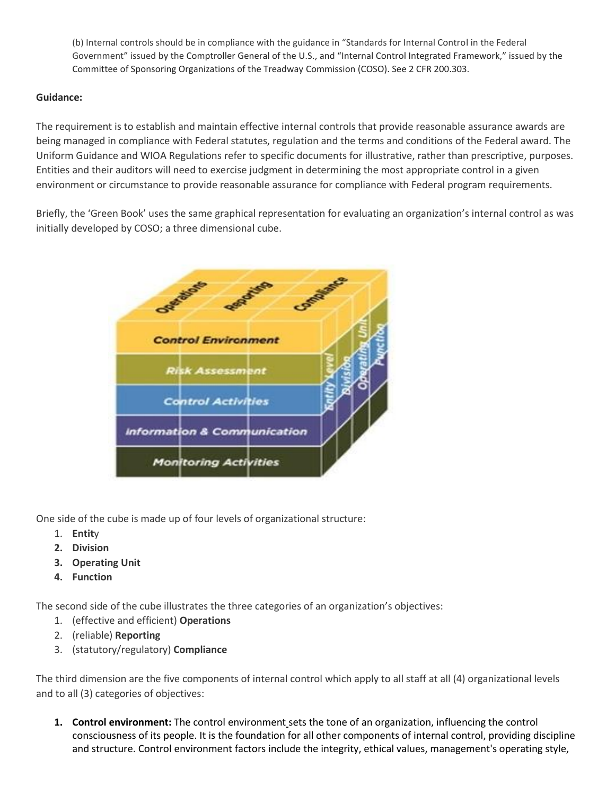(b) Internal controls should be in compliance with the guidance in "Standards for Internal Control in the Federal Government" issued by the Comptroller General of the U.S., and "Internal Control Integrated Framework," issued by the Committee of Sponsoring Organizations of the Treadway Commission (COSO). See 2 CFR 200.303.

## **Guidance:**

The requirement is to establish and maintain effective internal controls that provide reasonable assurance awards are being managed in compliance with Federal statutes, regulation and the terms and conditions of the Federal award. The Uniform Guidance and WIOA Regulations refer to specific documents for illustrative, rather than prescriptive, purposes. Entities and their auditors will need to exercise judgment in determining the most appropriate control in a given environment or circumstance to provide reasonable assurance for compliance with Federal program requirements.

Briefly, the 'Green Book' uses the same graphical representation for evaluating an organization's internal control as was initially developed by COSO; a three dimensional cube.



One side of the cube is made up of four levels of organizational structure:

- 1. **Entit**y
- **2. Division**
- **3. Operating Unit**
- **4. Function**

The second side of the cube illustrates the three categories of an organization's objectives:

- 1. (effective and efficient) **Operations**
- 2. (reliable) **Reporting**
- 3. (statutory/regulatory) **Compliance**

The third dimension are the five components of internal control which apply to all staff at all (4) organizational levels and to all (3) categories of objectives:

**1. Control environment:** The control environment sets the tone of an organization, influencing the control consciousness of its people. It is the foundation for all other components of internal control, providing discipline and structure. Control environment factors include the integrity, ethical values, management's operating style,